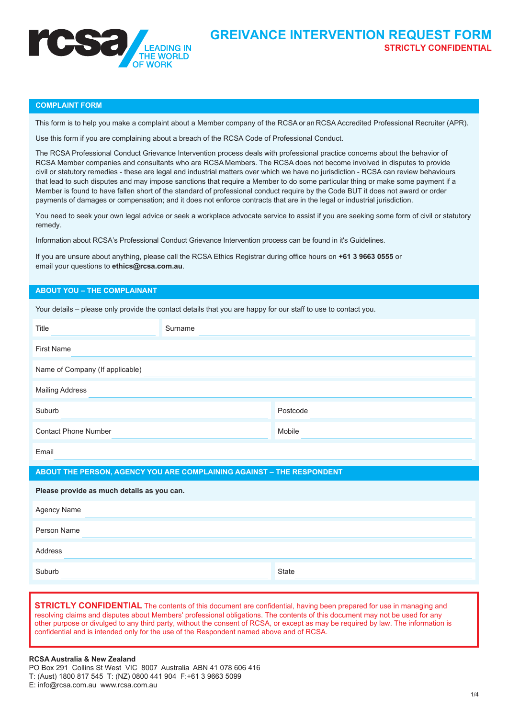

#### **COMPLAINT FORM**

This form is to help you make a complaint about a Member company of the RCSA or an RCSA Accredited Professional Recruiter (APR).

Use this form if you are complaining about a breach of the RCSA Code of Professional Conduct.

The RCSA Professional Conduct Grievance Intervention process deals with professional practice concerns about the behavior of RCSA Member companies and consultants who are RCSA Members. The RCSA does not become involved in disputes to provide civil or statutory remedies - these are legal and industrial matters over which we have no jurisdiction - RCSA can review behaviours that lead to such disputes and may impose sanctions that require a Member to do some particular thing or make some payment if a Member is found to have fallen short of the standard of professional conduct require by the Code BUT it does not award or order payments of damages or compensation; and it does not enforce contracts that are in the legal or industrial jurisdiction.

You need to seek your own legal advice or seek a workplace advocate service to assist if you are seeking some form of civil or statutory remedy.

Information about RCSA's Professional Conduct Grievance Intervention process can be found in it's Guidelines.

If you are unsure about anything, please call the RCSA Ethics Registrar during office hours on **+61 3 9663 0555** or email your questions to **ethics@rcsa.com.au**.

### **ABOUT YOU – THE COMPLAINANT**

| Your details – please only provide the contact details that you are happy for our staff to use to contact you. |         |          |  |
|----------------------------------------------------------------------------------------------------------------|---------|----------|--|
| Title                                                                                                          | Surname |          |  |
| <b>First Name</b>                                                                                              |         |          |  |
| Name of Company (If applicable)                                                                                |         |          |  |
| <b>Mailing Address</b>                                                                                         |         |          |  |
| Suburb                                                                                                         |         | Postcode |  |
| <b>Contact Phone Number</b>                                                                                    |         | Mobile   |  |
| Email                                                                                                          |         |          |  |
| ABOUT THE PERSON, AGENCY YOU ARE COMPLAINING AGAINST - THE RESPONDENT                                          |         |          |  |
|                                                                                                                |         |          |  |
| Please provide as much details as you can.                                                                     |         |          |  |
| Agency Name                                                                                                    |         |          |  |
| Person Name                                                                                                    |         |          |  |
| Address                                                                                                        |         |          |  |
| Suburb                                                                                                         |         | State    |  |

**STRICTLY CONFIDENTIAL** The contents of this document are confidential, having been prepared for use in managing and resolving claims and disputes about Members' professional obligations. The contents of this document may not be used for any other purpose or divulged to any third party, without the consent of RCSA, or except as may be required by law. The information is confidential and is intended only for the use of the Respondent named above and of RCSA.

# **RCSA Australia & New Zealand**

PO Box 291 Collins St West VIC 8007 Australia ABN 41 078 606 416 T: (Aust) 1800 817 545 T: (NZ) 0800 441 904 F:+61 3 9663 5099 E: info@rcsa.com.au <www.rcsa.com.au>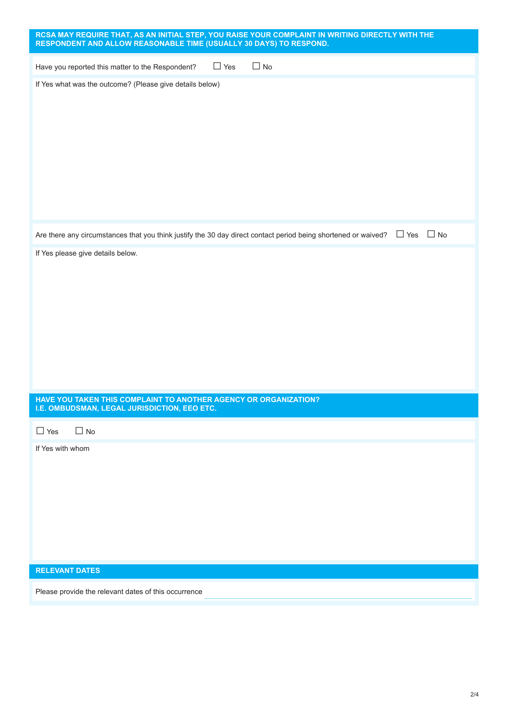| RCSA MAY REQUIRE THAT, AS AN INITIAL STEP, YOU RAISE YOUR COMPLAINT IN WRITING DIRECTLY WITH THE<br>RESPONDENT AND ALLOW REASONABLE TIME (USUALLY 30 DAYS) TO RESPOND. |
|------------------------------------------------------------------------------------------------------------------------------------------------------------------------|
| $\Box$ Yes<br>$\Box$ No<br>Have you reported this matter to the Respondent?                                                                                            |
| If Yes what was the outcome? (Please give details below)                                                                                                               |
| $\Box$ No<br>$\Box$ Yes<br>Are there any circumstances that you think justify the 30 day direct contact period being shortened or waived?                              |
| If Yes please give details below.<br>HAVE YOU TAKEN THIS COMPLAINT TO ANOTHER AGENCY OR ORGANIZATION?                                                                  |
| I.E. OMBUDSMAN, LEGAL JURISDICTION, EEO ETC.<br>$\Box$ Yes<br>$\Box$ No                                                                                                |
| If Yes with whom<br><b>RELEVANT DATES</b>                                                                                                                              |
| Please provide the relevant dates of this occurrence                                                                                                                   |
|                                                                                                                                                                        |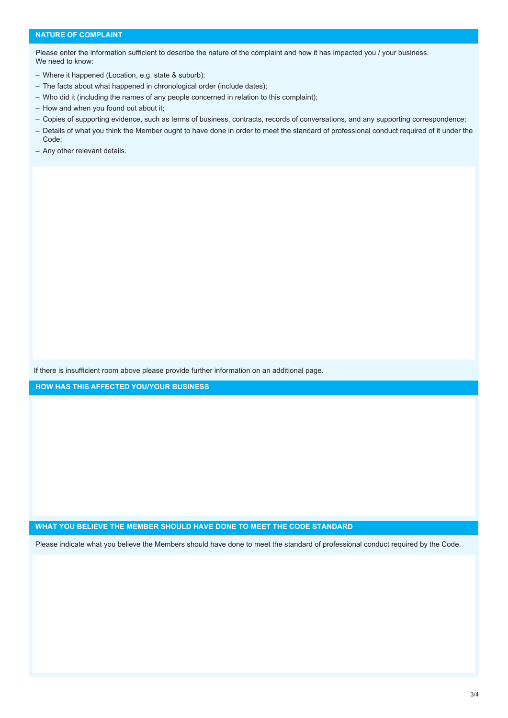Please enter the information sufficient to describe the nature of the complaint and how it has impacted you / your business. We need to know:

- Where it happened (Location, e.g. state & suburb);
- The facts about what happened in chronological order (include dates);
- Who did it (including the names of any people concerned in relation to this complaint);
- How and when you found out about it;
- Copies of supporting evidence, such as terms of business, contracts, records of conversations, and any supporting correspondence;
- Details of what you think the Member ought to have done in order to meet the standard of professional conduct required of it under the Code;
- Any other relevant details.

If there is insufficient room above please provide further information on an additional page.

**HOW HAS THIS AFFECTED YOU/YOUR BUSINESS**

**WHAT YOU BELIEVE THE MEMBER SHOULD HAVE DONE TO MEET THE CODE STANDARD**

Please indicate what you believe the Members should have done to meet the standard of professional conduct required by the Code.